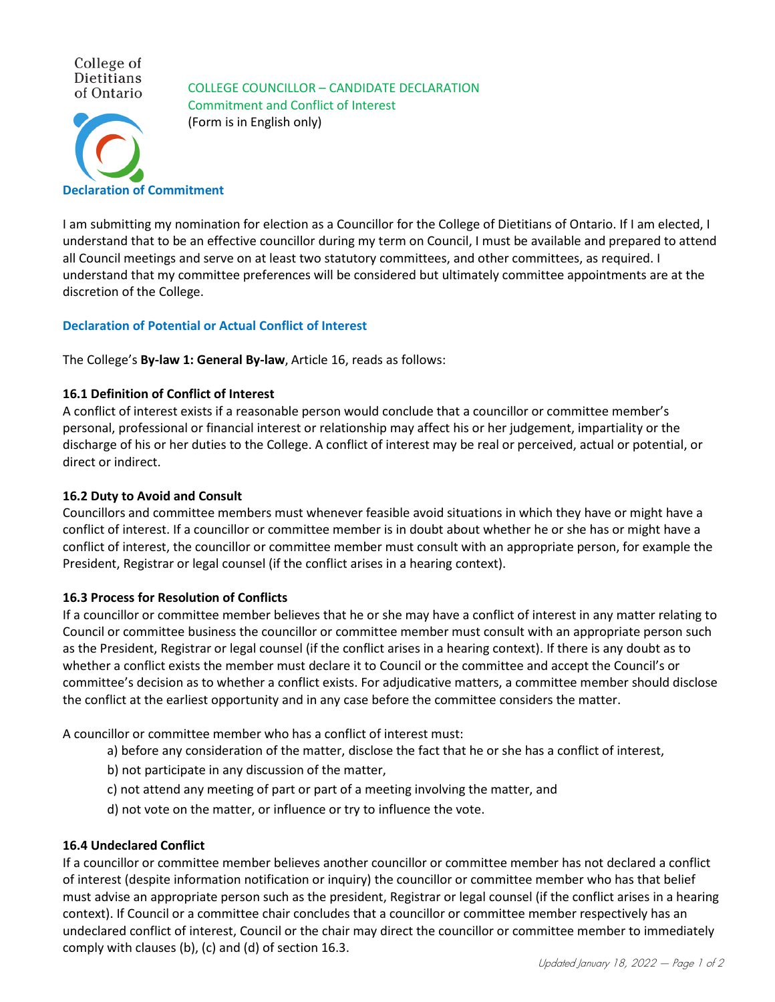College of Dietitians of Ontario

**Declaration of Commitment**

COLLEGE COUNCILLOR – CANDIDATE DECLARATION Commitment and Conflict of Interest (Form is in English only)

I am submitting my nomination for election as a Councillor for the College of Dietitians of Ontario. If I am elected, I understand that to be an effective councillor during my term on Council, I must be available and prepared to attend all Council meetings and serve on at least two statutory committees, and other committees, as required. I understand that my committee preferences will be considered but ultimately committee appointments are at the discretion of the College.

# **Declaration of Potential or Actual Conflict of Interest**

The College's **By-law 1: General By-law**, Article 16, reads as follows:

### **16.1 Definition of Conflict of Interest**

A conflict of interest exists if a reasonable person would conclude that a councillor or committee member's personal, professional or financial interest or relationship may affect his or her judgement, impartiality or the discharge of his or her duties to the College. A conflict of interest may be real or perceived, actual or potential, or direct or indirect.

### **16.2 Duty to Avoid and Consult**

Councillors and committee members must whenever feasible avoid situations in which they have or might have a conflict of interest. If a councillor or committee member is in doubt about whether he or she has or might have a conflict of interest, the councillor or committee member must consult with an appropriate person, for example the President, Registrar or legal counsel (if the conflict arises in a hearing context).

# **16.3 Process for Resolution of Conflicts**

If a councillor or committee member believes that he or she may have a conflict of interest in any matter relating to Council or committee business the councillor or committee member must consult with an appropriate person such as the President, Registrar or legal counsel (if the conflict arises in a hearing context). If there is any doubt as to whether a conflict exists the member must declare it to Council or the committee and accept the Council's or committee's decision as to whether a conflict exists. For adjudicative matters, a committee member should disclose the conflict at the earliest opportunity and in any case before the committee considers the matter.

A councillor or committee member who has a conflict of interest must:

- a) before any consideration of the matter, disclose the fact that he or she has a conflict of interest,
- b) not participate in any discussion of the matter,
- c) not attend any meeting of part or part of a meeting involving the matter, and
- d) not vote on the matter, or influence or try to influence the vote.

### **16.4 Undeclared Conflict**

If a councillor or committee member believes another councillor or committee member has not declared a conflict of interest (despite information notification or inquiry) the councillor or committee member who has that belief must advise an appropriate person such as the president, Registrar or legal counsel (if the conflict arises in a hearing context). If Council or a committee chair concludes that a councillor or committee member respectively has an undeclared conflict of interest, Council or the chair may direct the councillor or committee member to immediately comply with clauses (b), (c) and (d) of section 16.3.